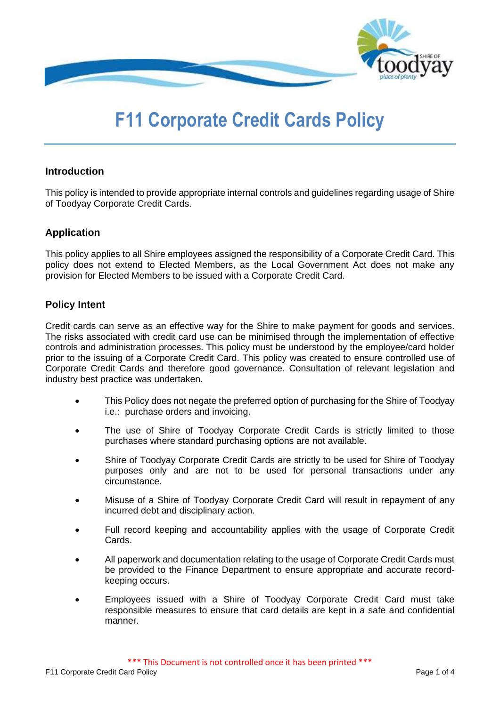

# **F11 Corporate Credit Cards Policy**

## **Introduction**

This policy is intended to provide appropriate internal controls and guidelines regarding usage of Shire of Toodyay Corporate Credit Cards.

## **Application**

This policy applies to all Shire employees assigned the responsibility of a Corporate Credit Card. This policy does not extend to Elected Members, as the Local Government Act does not make any provision for Elected Members to be issued with a Corporate Credit Card.

## **Policy Intent**

Credit cards can serve as an effective way for the Shire to make payment for goods and services. The risks associated with credit card use can be minimised through the implementation of effective controls and administration processes. This policy must be understood by the employee/card holder prior to the issuing of a Corporate Credit Card. This policy was created to ensure controlled use of Corporate Credit Cards and therefore good governance. Consultation of relevant legislation and industry best practice was undertaken.

- This Policy does not negate the preferred option of purchasing for the Shire of Toodyay i.e.: purchase orders and invoicing.
- The use of Shire of Toodyay Corporate Credit Cards is strictly limited to those purchases where standard purchasing options are not available.
- Shire of Toodyay Corporate Credit Cards are strictly to be used for Shire of Toodyay purposes only and are not to be used for personal transactions under any circumstance.
- Misuse of a Shire of Toodyay Corporate Credit Card will result in repayment of any incurred debt and disciplinary action.
- Full record keeping and accountability applies with the usage of Corporate Credit Cards.
- All paperwork and documentation relating to the usage of Corporate Credit Cards must be provided to the Finance Department to ensure appropriate and accurate recordkeeping occurs.
- Employees issued with a Shire of Toodyay Corporate Credit Card must take responsible measures to ensure that card details are kept in a safe and confidential manner.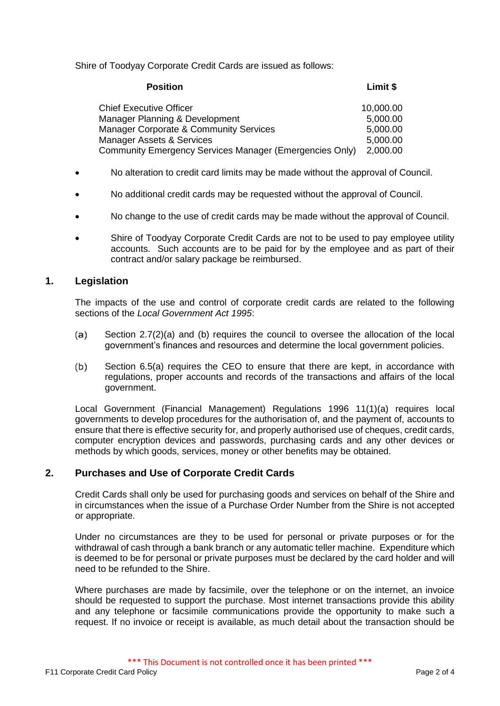Shire of Toodyay Corporate Credit Cards are issued as follows:

| <b>Position</b>                                         | Limit \$  |
|---------------------------------------------------------|-----------|
| <b>Chief Executive Officer</b>                          | 10,000.00 |
| Manager Planning & Development                          | 5,000.00  |
| Manager Corporate & Community Services                  | 5,000.00  |
| <b>Manager Assets &amp; Services</b>                    | 5,000.00  |
| Community Emergency Services Manager (Emergencies Only) | 2,000.00  |

- No alteration to credit card limits may be made without the approval of Council.
- No additional credit cards may be requested without the approval of Council.
- No change to the use of credit cards may be made without the approval of Council.
- Shire of Toodyay Corporate Credit Cards are not to be used to pay employee utility accounts. Such accounts are to be paid for by the employee and as part of their contract and/or salary package be reimbursed.

## **1. Legislation**

The impacts of the use and control of corporate credit cards are related to the following sections of the *Local Government Act 1995*:

- Section 2.7(2)(a) and (b) requires the council to oversee the allocation of the local  $(a)$ government's finances and resources and determine the local government policies.
- (b) Section 6.5(a) requires the CEO to ensure that there are kept, in accordance with regulations, proper accounts and records of the transactions and affairs of the local government.

Local Government (Financial Management) Regulations 1996 11(1)(a) requires local governments to develop procedures for the authorisation of, and the payment of, accounts to ensure that there is effective security for, and properly authorised use of cheques, credit cards, computer encryption devices and passwords, purchasing cards and any other devices or methods by which goods, services, money or other benefits may be obtained.

### **2. Purchases and Use of Corporate Credit Cards**

Credit Cards shall only be used for purchasing goods and services on behalf of the Shire and in circumstances when the issue of a Purchase Order Number from the Shire is not accepted or appropriate.

Under no circumstances are they to be used for personal or private purposes or for the withdrawal of cash through a bank branch or any automatic teller machine. Expenditure which is deemed to be for personal or private purposes must be declared by the card holder and will need to be refunded to the Shire.

Where purchases are made by facsimile, over the telephone or on the internet, an invoice should be requested to support the purchase. Most internet transactions provide this ability and any telephone or facsimile communications provide the opportunity to make such a request. If no invoice or receipt is available, as much detail about the transaction should be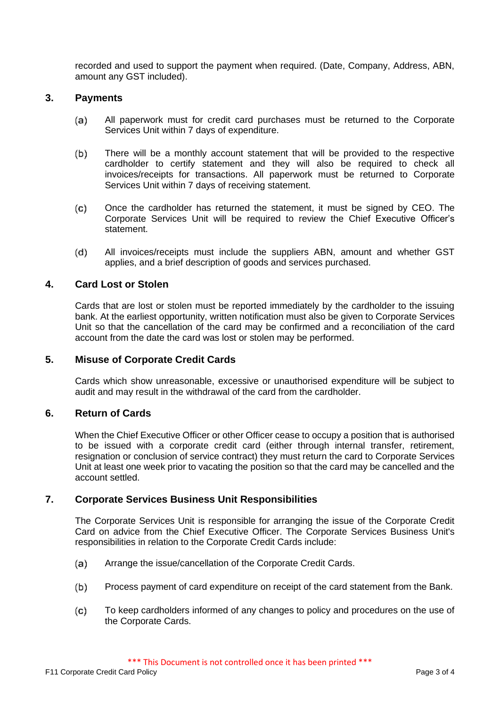recorded and used to support the payment when required. (Date, Company, Address, ABN, amount any GST included).

### **3. Payments**

- All paperwork must for credit card purchases must be returned to the Corporate (a) Services Unit within 7 days of expenditure.
- $(b)$ There will be a monthly account statement that will be provided to the respective cardholder to certify statement and they will also be required to check all invoices/receipts for transactions. All paperwork must be returned to Corporate Services Unit within 7 days of receiving statement.
- $(c)$ Once the cardholder has returned the statement, it must be signed by CEO. The Corporate Services Unit will be required to review the Chief Executive Officer's statement.
- $(d)$ All invoices/receipts must include the suppliers ABN, amount and whether GST applies, and a brief description of goods and services purchased.

### **4. Card Lost or Stolen**

Cards that are lost or stolen must be reported immediately by the cardholder to the issuing bank. At the earliest opportunity, written notification must also be given to Corporate Services Unit so that the cancellation of the card may be confirmed and a reconciliation of the card account from the date the card was lost or stolen may be performed.

### **5. Misuse of Corporate Credit Cards**

Cards which show unreasonable, excessive or unauthorised expenditure will be subject to audit and may result in the withdrawal of the card from the cardholder.

## **6. Return of Cards**

When the Chief Executive Officer or other Officer cease to occupy a position that is authorised to be issued with a corporate credit card (either through internal transfer, retirement, resignation or conclusion of service contract) they must return the card to Corporate Services Unit at least one week prior to vacating the position so that the card may be cancelled and the account settled.

### **7. Corporate Services Business Unit Responsibilities**

The Corporate Services Unit is responsible for arranging the issue of the Corporate Credit Card on advice from the Chief Executive Officer. The Corporate Services Business Unit's responsibilities in relation to the Corporate Credit Cards include:

- $(a)$ Arrange the issue/cancellation of the Corporate Credit Cards.
- Process payment of card expenditure on receipt of the card statement from the Bank.  $(b)$
- $(c)$ To keep cardholders informed of any changes to policy and procedures on the use of the Corporate Cards.